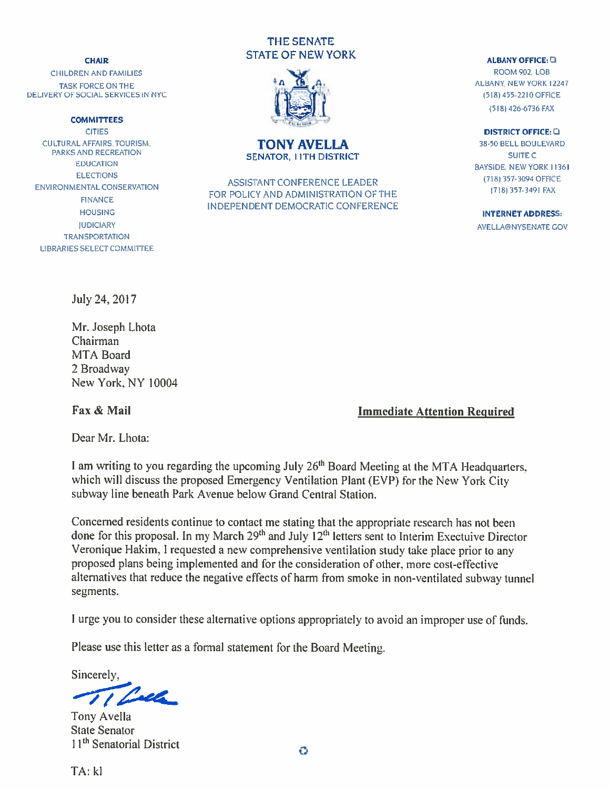CHILDREN AND FAMILIES **ROOM 902. LOB** TASK FORCE ON THE  $\begin{pmatrix} \mathbf{A} & \mathbf{B} & \mathbf{A} \end{pmatrix}$  and  $\begin{pmatrix} \mathbf{A} & \mathbf{A} \end{pmatrix}$  and  $\begin{pmatrix} \mathbf{A} & \mathbf{A} \end{pmatrix}$  and  $\begin{pmatrix} \mathbf{A} & \mathbf{A} \end{pmatrix}$  and  $\begin{pmatrix} \mathbf{A} & \mathbf{A} \end{pmatrix}$  and  $\begin{pmatrix} \mathbf{A} & \mathbf{A} \end{pmatrix}$  and  $\begin{$ DELIVERY OF SOCIAL SERVICES IN NYC **A CONSERVICE OF A CONSERVICE OF A CONSERVICE OF A CONSERVICE OF A CONSERVICE** 

CULTURAL AFFAIRS. TOURISM.<br>
PARKS AND RECREATION **SENATOR, ITH DISTRICT** SENATOR, ITH DISTRICT SUITE C<br>
EDUCATION SUITE C **ELECTIONS** IUDICIARY AVELLA@NYSENATE GOV **TRANSPORTATION** LIBRARIES SELECT COMMIttEE

## THE SENATE **CHAIR STATE OF NEW YORK ALBANY OFFICE:** Like the state of the state of the state of the state of the state of the state of the state of the state of the state of the state of the state of the state of the state of the sta



ELECTIONS ASSISTANT CONFERENCE LEADER (718) 357-3094 OFFICE<br>ENVIRONMENTAL CONSERVATION CONSERVATION CONSERVATION CONSERVATION CONSERVATION CONSERVATION FOR POLICY AND ADMINISTRATION OF THE FINANCE INDEPENDENT DEMOCRATIC CONFERENCE HOUSING **INTERNET ADDRESS:** INDEX ENDER YOUR MOUSING CONTENSER INTERNET ADDRESS:

## CITIES DISTRICT OFFICE: Q

BAYSIDE, NEW YORK 11361

July 24. 2017

Mr. Joseph Lhota Chairman MTA Board 2 Broadway New York, NY 10004

Fax & Mail **Immediate Attention Required** 

Dear Mr. Lhota:

I am writing to you regarding the upcoming July  $26<sup>th</sup>$  Board Meeting at the MTA Headquarters. which will discuss the propose<sup>d</sup> Emergency Ventilation Plant (EVP) for the New York City subway line beneath Park Avenue below Grand Central Station.

Concerned residents continue to contact me stating that the appropriate research has not been done for this proposal. In my March 29<sup>th</sup> and July 12<sup>th</sup> letters sent to Interim Exectuive Director Veronique Hakim, <sup>I</sup> requested <sup>a</sup> new comprehensive ventilation study take <sup>p</sup>lace prior to any proposed plans being implemented and for the consideration of other. more cost-effective alternatives that reduce the negative effects of harm from smoke in non-ventilated subway tunnel segments.

<sup>I</sup> urge you to consider these alternative options appropriately to avoid an improper use of funds.

Please use this letter as a formal statement for the Board Meeting.

Sincerely.

Colla

Tony Avella State Senator 11<sup>th</sup> Senatorial District